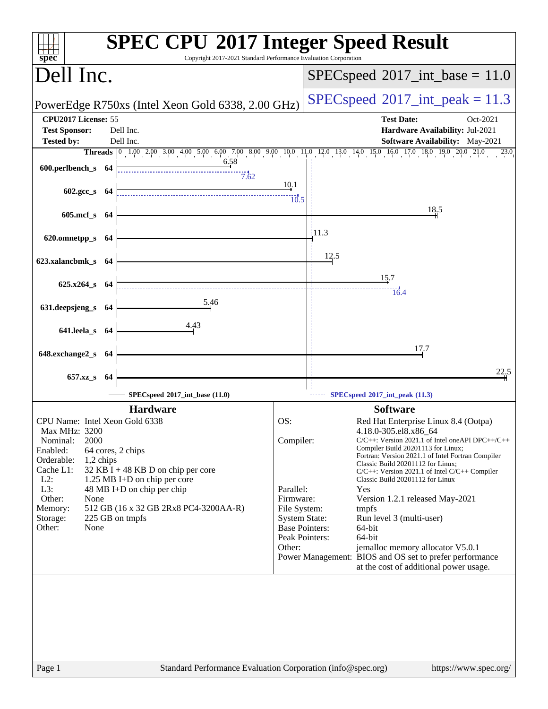| Dell Inc.                         | Copyright 2017-2021 Standard Performance Evaluation Corporation                                                           |                                         |                  | $SPEC speed^{\circ}2017\_int\_base = 11.0$                                              |
|-----------------------------------|---------------------------------------------------------------------------------------------------------------------------|-----------------------------------------|------------------|-----------------------------------------------------------------------------------------|
|                                   |                                                                                                                           |                                         |                  |                                                                                         |
|                                   | PowerEdge R750xs (Intel Xeon Gold 6338, 2.00 GHz)                                                                         |                                         |                  | $SPEC speed^{\circ}2017\_int\_peak = 11.3$                                              |
| CPU2017 License: 55               |                                                                                                                           |                                         |                  | <b>Test Date:</b><br>Oct-2021                                                           |
| <b>Test Sponsor:</b>              | Dell Inc.<br>Dell Inc.                                                                                                    |                                         |                  | Hardware Availability: Jul-2021                                                         |
| <b>Tested by:</b>                 | <b>Threads</b> 0 1.00 2.00 3.00 4.00 5.00 6.00 7.00 8.00 9.00 10.0 11.0 12.0 13.0 14.0 15.0 16.0 17.0 18.0 19.0 20.0 21.0 |                                         |                  | Software Availability: May-2021<br>23.0                                                 |
| 600.perlbench_s 64                | 6.58                                                                                                                      |                                         |                  |                                                                                         |
|                                   | 7.62                                                                                                                      |                                         |                  |                                                                                         |
| $602.\text{gcc s}$ 64             |                                                                                                                           | 10.1                                    |                  |                                                                                         |
|                                   |                                                                                                                           | $\overline{10.5}$                       |                  | 18,5                                                                                    |
| 605.mcf_s 64                      |                                                                                                                           |                                         |                  |                                                                                         |
| 620.omnetpp_s 64                  |                                                                                                                           |                                         | $\frac{11.3}{2}$ |                                                                                         |
|                                   |                                                                                                                           |                                         |                  |                                                                                         |
| 623.xalancbmk_s 64                |                                                                                                                           |                                         | 12.5             |                                                                                         |
|                                   |                                                                                                                           |                                         |                  | 15.7                                                                                    |
| $625.x264$ <sub>S</sub> $64$      |                                                                                                                           |                                         |                  | $\frac{1}{16.4}$                                                                        |
| 631.deepsjeng_s 64                | 5.46                                                                                                                      |                                         |                  |                                                                                         |
|                                   | 4.43                                                                                                                      |                                         |                  |                                                                                         |
| 641.leela_s 64                    |                                                                                                                           |                                         |                  |                                                                                         |
| 648.exchange2_s 64                |                                                                                                                           |                                         |                  | 17.7                                                                                    |
|                                   |                                                                                                                           |                                         |                  |                                                                                         |
| $657.xz$ <sub>_S</sub>            | - 64                                                                                                                      |                                         |                  | 22.5                                                                                    |
|                                   | SPECspeed®2017_int_base (11.0)                                                                                            |                                         |                  | SPECspeed®2017_int_peak (11.3)                                                          |
|                                   | <b>Hardware</b>                                                                                                           |                                         |                  | <b>Software</b>                                                                         |
| CPU Name: Intel Xeon Gold 6338    |                                                                                                                           | OS:                                     |                  | Red Hat Enterprise Linux 8.4 (Ootpa)                                                    |
| Max MHz: 3200<br>2000<br>Nominal: |                                                                                                                           | Compiler:                               |                  | 4.18.0-305.el8.x86_64<br>$C/C++$ : Version 2021.1 of Intel one API DPC++/C++            |
| Enabled:                          | 64 cores, 2 chips                                                                                                         |                                         |                  | Compiler Build 20201113 for Linux;<br>Fortran: Version 2021.1 of Intel Fortran Compiler |
| Orderable:<br>Cache L1:           | 1,2 chips<br>$32$ KB I + 48 KB D on chip per core                                                                         |                                         |                  | Classic Build 20201112 for Linux;<br>$C/C++$ : Version 2021.1 of Intel $C/C++$ Compiler |
| $L2$ :                            | 1.25 MB I+D on chip per core                                                                                              |                                         |                  | Classic Build 20201112 for Linux                                                        |
| L3:<br>Other:<br>None             | 48 MB I+D on chip per chip                                                                                                | Parallel:<br>Firmware:                  |                  | Yes<br>Version 1.2.1 released May-2021                                                  |
| Memory:                           | 512 GB (16 x 32 GB 2Rx8 PC4-3200AA-R)                                                                                     | File System:                            |                  | tmpfs                                                                                   |
| Storage:                          | 225 GB on tmpfs                                                                                                           | <b>System State:</b>                    |                  | Run level 3 (multi-user)                                                                |
| Other:<br>None                    |                                                                                                                           | <b>Base Pointers:</b><br>Peak Pointers: |                  | 64-bit<br>64-bit                                                                        |
|                                   |                                                                                                                           | Other:                                  |                  | jemalloc memory allocator V5.0.1                                                        |
|                                   |                                                                                                                           |                                         |                  | Power Management: BIOS and OS set to prefer performance                                 |
|                                   |                                                                                                                           |                                         |                  | at the cost of additional power usage.                                                  |
|                                   |                                                                                                                           |                                         |                  |                                                                                         |
|                                   |                                                                                                                           |                                         |                  |                                                                                         |
|                                   |                                                                                                                           |                                         |                  |                                                                                         |
|                                   |                                                                                                                           |                                         |                  |                                                                                         |
|                                   |                                                                                                                           |                                         |                  |                                                                                         |
|                                   |                                                                                                                           |                                         |                  |                                                                                         |
|                                   |                                                                                                                           |                                         |                  |                                                                                         |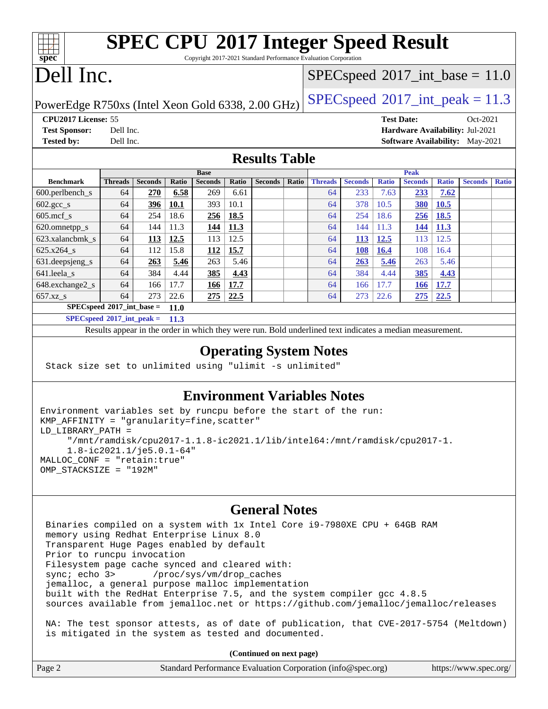# **[SPEC CPU](http://www.spec.org/auto/cpu2017/Docs/result-fields.html#SPECCPU2017IntegerSpeedResult)[2017 Integer Speed Result](http://www.spec.org/auto/cpu2017/Docs/result-fields.html#SPECCPU2017IntegerSpeedResult)**

Copyright 2017-2021 Standard Performance Evaluation Corporation

# Dell Inc.

**[spec](http://www.spec.org/)**

#### $SPECspeed^{\circledcirc}2017\_int\_base = 11.0$  $SPECspeed^{\circledcirc}2017\_int\_base = 11.0$

PowerEdge R750xs (Intel Xeon Gold 6338, 2.00 GHz)  $\left|$  [SPECspeed](http://www.spec.org/auto/cpu2017/Docs/result-fields.html#SPECspeed2017intpeak)<sup>®</sup>[2017\\_int\\_peak = 1](http://www.spec.org/auto/cpu2017/Docs/result-fields.html#SPECspeed2017intpeak)1.3

**[CPU2017 License:](http://www.spec.org/auto/cpu2017/Docs/result-fields.html#CPU2017License)** 55 **[Test Date:](http://www.spec.org/auto/cpu2017/Docs/result-fields.html#TestDate)** Oct-2021

**[Test Sponsor:](http://www.spec.org/auto/cpu2017/Docs/result-fields.html#TestSponsor)** Dell Inc. **[Hardware Availability:](http://www.spec.org/auto/cpu2017/Docs/result-fields.html#HardwareAvailability)** Jul-2021 **[Tested by:](http://www.spec.org/auto/cpu2017/Docs/result-fields.html#Testedby)** Dell Inc. **[Software Availability:](http://www.spec.org/auto/cpu2017/Docs/result-fields.html#SoftwareAvailability)** May-2021

#### **[Results Table](http://www.spec.org/auto/cpu2017/Docs/result-fields.html#ResultsTable)**

|                                            | <b>Base</b>    |                |             |                |             | <b>Peak</b>    |       |                |                |              |                |              |                |              |
|--------------------------------------------|----------------|----------------|-------------|----------------|-------------|----------------|-------|----------------|----------------|--------------|----------------|--------------|----------------|--------------|
| <b>Benchmark</b>                           | <b>Threads</b> | <b>Seconds</b> | Ratio       | <b>Seconds</b> | Ratio       | <b>Seconds</b> | Ratio | <b>Threads</b> | <b>Seconds</b> | <b>Ratio</b> | <b>Seconds</b> | <b>Ratio</b> | <b>Seconds</b> | <b>Ratio</b> |
| $600.$ perlbench $\mathsf{S}$              | 64             | 270            | 6.58        | 269            | 6.61        |                |       | 64             | 233            | 7.63         | 233            | 7.62         |                |              |
| $602.\text{gcc}\_\text{s}$                 | 64             | 396            | 10.1        | 393            | 10.1        |                |       | 64             | 378            | 10.5         | <b>380</b>     | 10.5         |                |              |
| $605$ .mcf s                               | 64             | 254            | 18.6        | 256            | 18.5        |                |       | 64             | 254            | 18.6         | 256            | <b>18.5</b>  |                |              |
| 620.omnetpp_s                              | 64             | 144            | 11.3        | 144            | <u>11.3</u> |                |       | 64             | 144            | 11.3         | 144            | <b>11.3</b>  |                |              |
| 623.xalancbmk s                            | 64             | 113            | <u>12.5</u> | 113            | 12.5        |                |       | 64             | 113            | <b>12.5</b>  | 113            | 12.5         |                |              |
| 625.x264 s                                 | 64             | 112            | 15.8        | <u>112</u>     | 15.7        |                |       | 64             | 108            | <b>16.4</b>  | 108            | 16.4         |                |              |
| 631.deepsjeng_s                            | 64             | 263            | 5.46        | 263            | 5.46        |                |       | 64             | 263            | 5.46         | 263            | 5.46         |                |              |
| 641.leela s                                | 64             | 384            | 4.44        | 385            | 4.43        |                |       | 64             | 384            | 4.44         | 385            | 4.43         |                |              |
| 648.exchange2_s                            | 64             | 166            | 17.7        | <u>166</u>     | 17.7        |                |       | 64             | 166            | 17.7         | <b>166</b>     | 17.7         |                |              |
| $657.xz$ s                                 | 64             | 273            | 22.6        | 275            | 22.5        |                |       | 64             | 273            | 22.6         | 275            | 22.5         |                |              |
| $SPECspeed*2017$ int base =<br><b>11.0</b> |                |                |             |                |             |                |       |                |                |              |                |              |                |              |
| $SPEC speed*2017\_int\_peak =$             |                |                | 11.3        |                |             |                |       |                |                |              |                |              |                |              |

Results appear in the [order in which they were run.](http://www.spec.org/auto/cpu2017/Docs/result-fields.html#RunOrder) Bold underlined text [indicates a median measurement.](http://www.spec.org/auto/cpu2017/Docs/result-fields.html#Median)

#### **[Operating System Notes](http://www.spec.org/auto/cpu2017/Docs/result-fields.html#OperatingSystemNotes)**

Stack size set to unlimited using "ulimit -s unlimited"

is mitigated in the system as tested and documented.

#### **[Environment Variables Notes](http://www.spec.org/auto/cpu2017/Docs/result-fields.html#EnvironmentVariablesNotes)**

```
Environment variables set by runcpu before the start of the run:
KMP_AFFINITY = "granularity=fine,scatter"
LD_LIBRARY_PATH =
      "/mnt/ramdisk/cpu2017-1.1.8-ic2021.1/lib/intel64:/mnt/ramdisk/cpu2017-1.
      1.8-ic2021.1/je5.0.1-64"
MALLOC_CONF = "retain:true"
OMP_STACKSIZE = "192M"
```
#### **[General Notes](http://www.spec.org/auto/cpu2017/Docs/result-fields.html#GeneralNotes)**

 Binaries compiled on a system with 1x Intel Core i9-7980XE CPU + 64GB RAM memory using Redhat Enterprise Linux 8.0 Transparent Huge Pages enabled by default Prior to runcpu invocation Filesystem page cache synced and cleared with: sync; echo 3> /proc/sys/vm/drop\_caches jemalloc, a general purpose malloc implementation built with the RedHat Enterprise 7.5, and the system compiler gcc 4.8.5 sources available from jemalloc.net or <https://github.com/jemalloc/jemalloc/releases> NA: The test sponsor attests, as of date of publication, that CVE-2017-5754 (Meltdown)

**(Continued on next page)**

|        | $\mathbf{y} = \mathbf{y} \cdot \mathbf{y} = \mathbf{y} \cdot \mathbf{y} = \mathbf{y} \cdot \mathbf{y} = \mathbf{y} \cdot \mathbf{y}$ |                       |
|--------|--------------------------------------------------------------------------------------------------------------------------------------|-----------------------|
| Page 2 | Standard Performance Evaluation Corporation (info@spec.org)                                                                          | https://www.spec.org/ |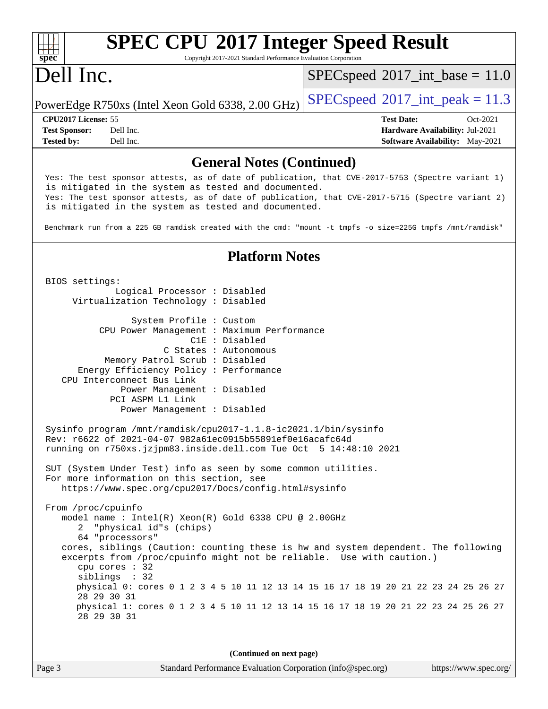#### **[spec](http://www.spec.org/) [SPEC CPU](http://www.spec.org/auto/cpu2017/Docs/result-fields.html#SPECCPU2017IntegerSpeedResult)[2017 Integer Speed Result](http://www.spec.org/auto/cpu2017/Docs/result-fields.html#SPECCPU2017IntegerSpeedResult)** Copyright 2017-2021 Standard Performance Evaluation Corporation Dell Inc. PowerEdge R750xs (Intel Xeon Gold 6338, 2.00 GHz)  $\left|$  [SPECspeed](http://www.spec.org/auto/cpu2017/Docs/result-fields.html#SPECspeed2017intpeak)®[2017\\_int\\_peak = 1](http://www.spec.org/auto/cpu2017/Docs/result-fields.html#SPECspeed2017intpeak)1.3  $SPECspeed^{\circ}2017\_int\_base = 11.0$  $SPECspeed^{\circ}2017\_int\_base = 11.0$ **[CPU2017 License:](http://www.spec.org/auto/cpu2017/Docs/result-fields.html#CPU2017License)** 55 **[Test Date:](http://www.spec.org/auto/cpu2017/Docs/result-fields.html#TestDate)** Oct-2021 **[Test Sponsor:](http://www.spec.org/auto/cpu2017/Docs/result-fields.html#TestSponsor)** Dell Inc. **[Hardware Availability:](http://www.spec.org/auto/cpu2017/Docs/result-fields.html#HardwareAvailability)** Jul-2021 **[Tested by:](http://www.spec.org/auto/cpu2017/Docs/result-fields.html#Testedby)** Dell Inc. Dell Inc. **[Software Availability:](http://www.spec.org/auto/cpu2017/Docs/result-fields.html#SoftwareAvailability)** May-2021 **[General Notes \(Continued\)](http://www.spec.org/auto/cpu2017/Docs/result-fields.html#GeneralNotes)** Yes: The test sponsor attests, as of date of publication, that CVE-2017-5753 (Spectre variant 1) is mitigated in the system as tested and documented. Yes: The test sponsor attests, as of date of publication, that CVE-2017-5715 (Spectre variant 2) is mitigated in the system as tested and documented. Benchmark run from a 225 GB ramdisk created with the cmd: "mount -t tmpfs -o size=225G tmpfs /mnt/ramdisk" **[Platform Notes](http://www.spec.org/auto/cpu2017/Docs/result-fields.html#PlatformNotes)** BIOS settings: Logical Processor : Disabled Virtualization Technology : Disabled System Profile : Custom CPU Power Management : Maximum Performance C1E : Disabled C States : Autonomous Memory Patrol Scrub : Disabled Energy Efficiency Policy : Performance CPU Interconnect Bus Link Power Management : Disabled PCI ASPM L1 Link Power Management : Disabled Sysinfo program /mnt/ramdisk/cpu2017-1.1.8-ic2021.1/bin/sysinfo Rev: r6622 of 2021-04-07 982a61ec0915b55891ef0e16acafc64d running on r750xs.jzjpm83.inside.dell.com Tue Oct 5 14:48:10 2021 SUT (System Under Test) info as seen by some common utilities. For more information on this section, see <https://www.spec.org/cpu2017/Docs/config.html#sysinfo> From /proc/cpuinfo model name : Intel(R) Xeon(R) Gold 6338 CPU @ 2.00GHz 2 "physical id"s (chips) 64 "processors" cores, siblings (Caution: counting these is hw and system dependent. The following excerpts from /proc/cpuinfo might not be reliable. Use with caution.) cpu cores : 32 siblings : 32 physical 0: cores 0 1 2 3 4 5 10 11 12 13 14 15 16 17 18 19 20 21 22 23 24 25 26 27 28 29 30 31 physical 1: cores 0 1 2 3 4 5 10 11 12 13 14 15 16 17 18 19 20 21 22 23 24 25 26 27 28 29 30 31

**(Continued on next page)**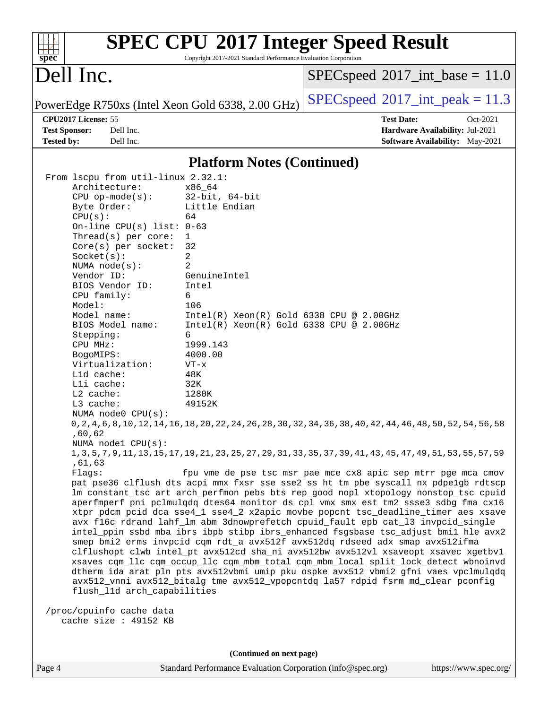| Dell Inc.            |                                    |                                                   | $SPEC speed^{\circ}2017\_int\_base = 11.0$                                                                                                                                 |
|----------------------|------------------------------------|---------------------------------------------------|----------------------------------------------------------------------------------------------------------------------------------------------------------------------------|
|                      |                                    | PowerEdge R750xs (Intel Xeon Gold 6338, 2.00 GHz) | $SPEC speed^{\circ}2017\_int\_peak = 11.3$                                                                                                                                 |
| CPU2017 License: 55  |                                    |                                                   | <b>Test Date:</b><br>Oct-2021                                                                                                                                              |
| <b>Test Sponsor:</b> | Dell Inc.                          |                                                   | Hardware Availability: Jul-2021                                                                                                                                            |
| <b>Tested by:</b>    | Dell Inc.                          |                                                   | Software Availability: May-2021                                                                                                                                            |
|                      |                                    | <b>Platform Notes (Continued)</b>                 |                                                                                                                                                                            |
|                      | From 1scpu from util-linux 2.32.1: |                                                   |                                                                                                                                                                            |
|                      | Architecture:                      | x86_64                                            |                                                                                                                                                                            |
|                      | $CPU$ op-mode( $s$ ):              | $32$ -bit, $64$ -bit                              |                                                                                                                                                                            |
|                      | Byte Order:                        | Little Endian                                     |                                                                                                                                                                            |
| CPU(s):              |                                    | 64                                                |                                                                                                                                                                            |
|                      | On-line CPU(s) list: $0-63$        |                                                   |                                                                                                                                                                            |
|                      | Thread(s) per core:                | 1                                                 |                                                                                                                                                                            |
|                      | $Core(s)$ per socket:              | 32                                                |                                                                                                                                                                            |
|                      | Socket(s):                         | 2                                                 |                                                                                                                                                                            |
|                      | NUMA $node(s)$ :<br>Vendor ID:     | 2                                                 |                                                                                                                                                                            |
|                      | BIOS Vendor ID:                    | GenuineIntel<br>Intel                             |                                                                                                                                                                            |
|                      | CPU family:                        | 6                                                 |                                                                                                                                                                            |
| Model:               |                                    | 106                                               |                                                                                                                                                                            |
|                      | Model name:                        | $Intel(R) Xeon(R) Gold 6338 CPU @ 2.00GHz$        |                                                                                                                                                                            |
|                      | BIOS Model name:                   | $Intel(R) Xeon(R) Gold 6338 CPU @ 2.00GHz$        |                                                                                                                                                                            |
| Stepping:            |                                    | 6                                                 |                                                                                                                                                                            |
| CPU MHz:             |                                    | 1999.143                                          |                                                                                                                                                                            |
| BogoMIPS:            |                                    | 4000.00                                           |                                                                                                                                                                            |
|                      | Virtualization:                    | $VT - x$                                          |                                                                                                                                                                            |
|                      | Lld cache:                         | 48K                                               |                                                                                                                                                                            |
|                      | Lli cache:                         | 32K                                               |                                                                                                                                                                            |
| L2 cache:            |                                    | 1280K                                             |                                                                                                                                                                            |
| L3 cache:            |                                    | 49152K                                            |                                                                                                                                                                            |
|                      | NUMA $node0$ $CPU(s)$ :            |                                                   |                                                                                                                                                                            |
|                      |                                    |                                                   | 0, 2, 4, 6, 8, 10, 12, 14, 16, 18, 20, 22, 24, 26, 28, 30, 32, 34, 36, 38, 40, 42, 44, 46, 48, 50, 52, 54, 56, 58                                                          |
| ,60,62               | NUMA $node1$ $CPU(s):$             |                                                   |                                                                                                                                                                            |
|                      |                                    |                                                   | 1, 3, 5, 7, 9, 11, 13, 15, 17, 19, 21, 23, 25, 27, 29, 31, 33, 35, 37, 39, 41, 43, 45, 47, 49, 51, 53, 55, 57, 59                                                          |
| ,61,63               |                                    |                                                   |                                                                                                                                                                            |
| Flaqs:               |                                    |                                                   | fpu vme de pse tsc msr pae mce cx8 apic sep mtrr pge mca cmov                                                                                                              |
|                      |                                    |                                                   | pat pse36 clflush dts acpi mmx fxsr sse sse2 ss ht tm pbe syscall nx pdpelgb rdtscp                                                                                        |
|                      |                                    |                                                   | lm constant_tsc art arch_perfmon pebs bts rep_good nopl xtopology nonstop_tsc cpuid                                                                                        |
|                      |                                    |                                                   | aperfmperf pni pclmulqdq dtes64 monitor ds_cpl vmx smx est tm2 ssse3 sdbg fma cx16                                                                                         |
|                      |                                    |                                                   | xtpr pdcm pcid dca sse4_1 sse4_2 x2apic movbe popcnt tsc_deadline_timer aes xsave                                                                                          |
|                      |                                    |                                                   | avx f16c rdrand lahf_lm abm 3dnowprefetch cpuid_fault epb cat_13 invpcid_single                                                                                            |
|                      |                                    |                                                   | intel_ppin ssbd mba ibrs ibpb stibp ibrs_enhanced fsgsbase tsc_adjust bmil hle avx2                                                                                        |
|                      |                                    |                                                   | smep bmi2 erms invpcid cqm rdt_a avx512f avx512dq rdseed adx smap avx512ifma                                                                                               |
|                      |                                    |                                                   | clflushopt clwb intel_pt avx512cd sha_ni avx512bw avx512vl xsaveopt xsavec xgetbvl                                                                                         |
|                      |                                    |                                                   | xsaves cqm_llc cqm_occup_llc cqm_mbm_total cqm_mbm_local split_lock_detect wbnoinvd<br>dtherm ida arat pln pts avx512vbmi umip pku ospke avx512_vbmi2 gfni vaes vpclmulqdq |
|                      |                                    |                                                   | avx512_vnni avx512_bitalg tme avx512_vpopcntdq la57 rdpid fsrm md_clear pconfig                                                                                            |
|                      | flush_l1d arch_capabilities        |                                                   |                                                                                                                                                                            |
|                      |                                    |                                                   |                                                                                                                                                                            |
|                      | /proc/cpuinfo cache data           |                                                   |                                                                                                                                                                            |
|                      | cache size : 49152 KB              |                                                   |                                                                                                                                                                            |
|                      |                                    |                                                   |                                                                                                                                                                            |
|                      |                                    |                                                   |                                                                                                                                                                            |
|                      |                                    |                                                   |                                                                                                                                                                            |

**(Continued on next page)**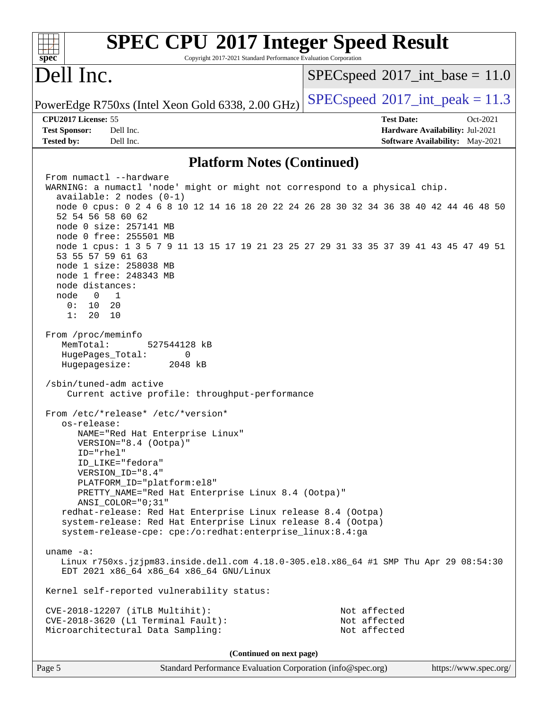| <b>SPEC CPU®2017 Integer Speed Result</b>                                                                                        |                                                                    |
|----------------------------------------------------------------------------------------------------------------------------------|--------------------------------------------------------------------|
| Copyright 2017-2021 Standard Performance Evaluation Corporation<br>spec <sup>®</sup>                                             |                                                                    |
| Dell Inc.                                                                                                                        | $SPEC speed^{\circ}2017\_int\_base = 11.0$                         |
| PowerEdge R750xs (Intel Xeon Gold 6338, 2.00 GHz)                                                                                | $SPEC speed^{\circ}2017\_int\_peak = 11.3$                         |
| CPU2017 License: 55                                                                                                              | <b>Test Date:</b><br>Oct-2021                                      |
| <b>Test Sponsor:</b><br>Dell Inc.<br><b>Tested by:</b><br>Dell Inc.                                                              | Hardware Availability: Jul-2021<br>Software Availability: May-2021 |
| <b>Platform Notes (Continued)</b>                                                                                                |                                                                    |
| From numactl --hardware                                                                                                          |                                                                    |
| WARNING: a numactl 'node' might or might not correspond to a physical chip.                                                      |                                                                    |
| $available: 2 nodes (0-1)$<br>node 0 cpus: 0 2 4 6 8 10 12 14 16 18 20 22 24 26 28 30 32 34 36 38 40 42 44 46 48 50              |                                                                    |
| 52 54 56 58 60 62                                                                                                                |                                                                    |
| node 0 size: 257141 MB                                                                                                           |                                                                    |
| node 0 free: 255501 MB                                                                                                           |                                                                    |
| node 1 cpus: 1 3 5 7 9 11 13 15 17 19 21 23 25 27 29 31 33 35 37 39 41 43 45 47 49 51<br>53 55 57 59 61 63                       |                                                                    |
| node 1 size: 258038 MB                                                                                                           |                                                                    |
| node 1 free: 248343 MB                                                                                                           |                                                                    |
| node distances:                                                                                                                  |                                                                    |
| node<br>$\overline{0}$<br>$\overline{1}$<br>0 :<br>10<br>20                                                                      |                                                                    |
| 1:<br>20<br>10                                                                                                                   |                                                                    |
|                                                                                                                                  |                                                                    |
| From /proc/meminfo                                                                                                               |                                                                    |
| MemTotal:<br>527544128 kB                                                                                                        |                                                                    |
| HugePages_Total:<br>0<br>Hugepagesize:<br>2048 kB                                                                                |                                                                    |
|                                                                                                                                  |                                                                    |
| /sbin/tuned-adm active<br>Current active profile: throughput-performance                                                         |                                                                    |
| From /etc/*release* /etc/*version*<br>os-release:                                                                                |                                                                    |
| NAME="Red Hat Enterprise Linux"<br>VERSION="8.4 (Ootpa)"                                                                         |                                                                    |
| ID="rhel"                                                                                                                        |                                                                    |
| ID LIKE="fedora"                                                                                                                 |                                                                    |
| VERSION_ID="8.4"<br>PLATFORM_ID="platform:el8"                                                                                   |                                                                    |
| PRETTY_NAME="Red Hat Enterprise Linux 8.4 (Ootpa)"                                                                               |                                                                    |
| $ANSI\_COLOR = "0; 31"$                                                                                                          |                                                                    |
| redhat-release: Red Hat Enterprise Linux release 8.4 (Ootpa)                                                                     |                                                                    |
| system-release: Red Hat Enterprise Linux release 8.4 (Ootpa)<br>system-release-cpe: cpe:/o:redhat:enterprise_linux:8.4:ga        |                                                                    |
| uname $-a$ :                                                                                                                     |                                                                    |
| Linux r750xs.jzjpm83.inside.dell.com 4.18.0-305.el8.x86_64 #1 SMP Thu Apr 29 08:54:30<br>EDT 2021 x86_64 x86_64 x86_64 GNU/Linux |                                                                    |
| Kernel self-reported vulnerability status:                                                                                       |                                                                    |
| CVE-2018-12207 (iTLB Multihit):                                                                                                  | Not affected                                                       |
| CVE-2018-3620 (L1 Terminal Fault):                                                                                               | Not affected                                                       |
| Microarchitectural Data Sampling:                                                                                                | Not affected                                                       |
| (Continued on next page)                                                                                                         |                                                                    |
|                                                                                                                                  |                                                                    |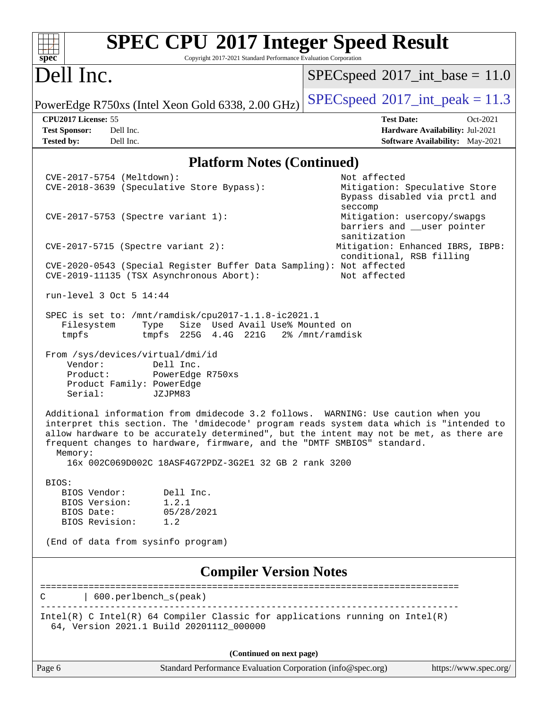| <b>SPEC CPU®2017 Integer Speed Result</b><br>Copyright 2017-2021 Standard Performance Evaluation Corporation<br>spec <sup>®</sup>                                                                                                                                                                                                                                                                                      |                                                                                                     |  |  |  |  |  |  |  |  |
|------------------------------------------------------------------------------------------------------------------------------------------------------------------------------------------------------------------------------------------------------------------------------------------------------------------------------------------------------------------------------------------------------------------------|-----------------------------------------------------------------------------------------------------|--|--|--|--|--|--|--|--|
| Dell Inc.                                                                                                                                                                                                                                                                                                                                                                                                              | $SPEC speed^{\circ}2017\_int\_base = 11.0$                                                          |  |  |  |  |  |  |  |  |
| PowerEdge R750xs (Intel Xeon Gold 6338, 2.00 GHz)                                                                                                                                                                                                                                                                                                                                                                      | $SPEC speed^{\circ}2017\_int\_peak = 11.3$                                                          |  |  |  |  |  |  |  |  |
| CPU2017 License: 55<br><b>Test Sponsor:</b><br>Dell Inc.<br><b>Tested by:</b><br>Dell Inc.                                                                                                                                                                                                                                                                                                                             | <b>Test Date:</b><br>Oct-2021<br>Hardware Availability: Jul-2021<br>Software Availability: May-2021 |  |  |  |  |  |  |  |  |
| <b>Platform Notes (Continued)</b>                                                                                                                                                                                                                                                                                                                                                                                      |                                                                                                     |  |  |  |  |  |  |  |  |
| CVE-2017-5754 (Meltdown):<br>CVE-2018-3639 (Speculative Store Bypass):                                                                                                                                                                                                                                                                                                                                                 | Not affected<br>Mitigation: Speculative Store<br>Bypass disabled via prctl and<br>seccomp           |  |  |  |  |  |  |  |  |
| CVE-2017-5753 (Spectre variant 1):                                                                                                                                                                                                                                                                                                                                                                                     | Mitigation: usercopy/swapgs<br>barriers and __user pointer<br>sanitization                          |  |  |  |  |  |  |  |  |
| $CVE-2017-5715$ (Spectre variant 2):                                                                                                                                                                                                                                                                                                                                                                                   | Mitigation: Enhanced IBRS, IBPB:<br>conditional, RSB filling                                        |  |  |  |  |  |  |  |  |
| CVE-2020-0543 (Special Register Buffer Data Sampling): Not affected<br>CVE-2019-11135 (TSX Asynchronous Abort):                                                                                                                                                                                                                                                                                                        | Not affected                                                                                        |  |  |  |  |  |  |  |  |
| run-level 3 Oct 5 14:44                                                                                                                                                                                                                                                                                                                                                                                                |                                                                                                     |  |  |  |  |  |  |  |  |
| SPEC is set to: /mnt/ramdisk/cpu2017-1.1.8-ic2021.1<br>Size Used Avail Use% Mounted on<br>Filesystem<br>Type<br>tmpfs<br>tmpfs 225G 4.4G 221G                                                                                                                                                                                                                                                                          | 2% /mnt/ramdisk                                                                                     |  |  |  |  |  |  |  |  |
| From /sys/devices/virtual/dmi/id<br>Vendor:<br>Dell Inc.<br>Product:<br>PowerEdge R750xs<br>Product Family: PowerEdge<br>Serial:<br>JZJPM83                                                                                                                                                                                                                                                                            |                                                                                                     |  |  |  |  |  |  |  |  |
| Additional information from dmidecode 3.2 follows. WARNING: Use caution when you<br>interpret this section. The 'dmidecode' program reads system data which is "intended to<br>allow hardware to be accurately determined", but the intent may not be met, as there are<br>frequent changes to hardware, firmware, and the "DMTF SMBIOS" standard.<br>Memory:<br>16x 002C069D002C 18ASF4G72PDZ-3G2E1 32 GB 2 rank 3200 |                                                                                                     |  |  |  |  |  |  |  |  |
| BIOS:<br>BIOS Vendor:<br>Dell Inc.<br>1.2.1<br>BIOS Version:<br>BIOS Date:<br>05/28/2021<br>BIOS Revision:<br>1.2                                                                                                                                                                                                                                                                                                      |                                                                                                     |  |  |  |  |  |  |  |  |
| (End of data from sysinfo program)                                                                                                                                                                                                                                                                                                                                                                                     |                                                                                                     |  |  |  |  |  |  |  |  |
| <b>Compiler Version Notes</b>                                                                                                                                                                                                                                                                                                                                                                                          |                                                                                                     |  |  |  |  |  |  |  |  |
| 600.perlbench_s(peak)<br>С                                                                                                                                                                                                                                                                                                                                                                                             |                                                                                                     |  |  |  |  |  |  |  |  |
| Intel(R) C Intel(R) 64 Compiler Classic for applications running on $Intel(R)$<br>64, Version 2021.1 Build 20201112_000000                                                                                                                                                                                                                                                                                             |                                                                                                     |  |  |  |  |  |  |  |  |
| (Continued on next page)                                                                                                                                                                                                                                                                                                                                                                                               |                                                                                                     |  |  |  |  |  |  |  |  |

Page 6 Standard Performance Evaluation Corporation [\(info@spec.org\)](mailto:info@spec.org) <https://www.spec.org/>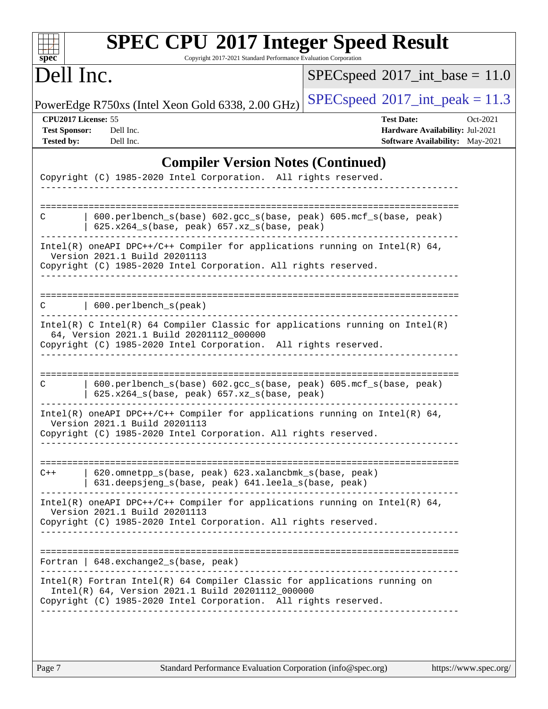| <b>SPEC CPU®2017 Integer Speed Result</b><br>Copyright 2017-2021 Standard Performance Evaluation Corporation<br>$spec^*$                                                                            |                                                                                                     |  |  |  |  |
|-----------------------------------------------------------------------------------------------------------------------------------------------------------------------------------------------------|-----------------------------------------------------------------------------------------------------|--|--|--|--|
| Dell Inc.                                                                                                                                                                                           | $SPEC speed^{\circ}2017\_int\_base = 11.0$                                                          |  |  |  |  |
| PowerEdge R750xs (Intel Xeon Gold 6338, 2.00 GHz)                                                                                                                                                   | $SPEC speed^{\circ}2017\_int\_peak = 11.3$                                                          |  |  |  |  |
| CPU2017 License: 55<br><b>Test Sponsor:</b><br>Dell Inc.<br>Dell Inc.<br><b>Tested by:</b>                                                                                                          | <b>Test Date:</b><br>Oct-2021<br>Hardware Availability: Jul-2021<br>Software Availability: May-2021 |  |  |  |  |
| <b>Compiler Version Notes (Continued)</b>                                                                                                                                                           |                                                                                                     |  |  |  |  |
| Copyright (C) 1985-2020 Intel Corporation. All rights reserved.                                                                                                                                     |                                                                                                     |  |  |  |  |
| 600.perlbench_s(base) 602.gcc_s(base, peak) 605.mcf_s(base, peak)<br>С<br>625.x264_s(base, peak) 657.xz_s(base, peak)                                                                               |                                                                                                     |  |  |  |  |
| Intel(R) oneAPI DPC++/C++ Compiler for applications running on Intel(R) $64$ ,<br>Version 2021.1 Build 20201113<br>Copyright (C) 1985-2020 Intel Corporation. All rights reserved.                  |                                                                                                     |  |  |  |  |
| 600.perlbench_s(peak)                                                                                                                                                                               |                                                                                                     |  |  |  |  |
| Intel(R) C Intel(R) 64 Compiler Classic for applications running on Intel(R)<br>64, Version 2021.1 Build 20201112_000000<br>Copyright (C) 1985-2020 Intel Corporation. All rights reserved.         |                                                                                                     |  |  |  |  |
| 600.perlbench_s(base) 602.gcc_s(base, peak) 605.mcf_s(base, peak)<br>C<br>$625.x264_s(base, peak)$ 657.xz <sub>_S</sub> (base, peak)                                                                |                                                                                                     |  |  |  |  |
| Intel(R) oneAPI DPC++/C++ Compiler for applications running on Intel(R) $64$ ,<br>Version 2021.1 Build 20201113<br>Copyright (C) 1985-2020 Intel Corporation. All rights reserved.                  |                                                                                                     |  |  |  |  |
| 620.omnetpp_s(base, peak) 623.xalancbmk_s(base, peak)<br>$C++$<br>  631.deepsjeng_s(base, peak) 641.leela_s(base, peak)                                                                             |                                                                                                     |  |  |  |  |
| $Intel(R)$ oneAPI DPC++/C++ Compiler for applications running on Intel(R) 64,<br>Version 2021.1 Build 20201113<br>Copyright (C) 1985-2020 Intel Corporation. All rights reserved.                   |                                                                                                     |  |  |  |  |
| Fortran   648. exchange2_s(base, peak)                                                                                                                                                              |                                                                                                     |  |  |  |  |
| $Intel(R)$ Fortran Intel(R) 64 Compiler Classic for applications running on<br>Intel(R) 64, Version 2021.1 Build 20201112_000000<br>Copyright (C) 1985-2020 Intel Corporation. All rights reserved. |                                                                                                     |  |  |  |  |
|                                                                                                                                                                                                     |                                                                                                     |  |  |  |  |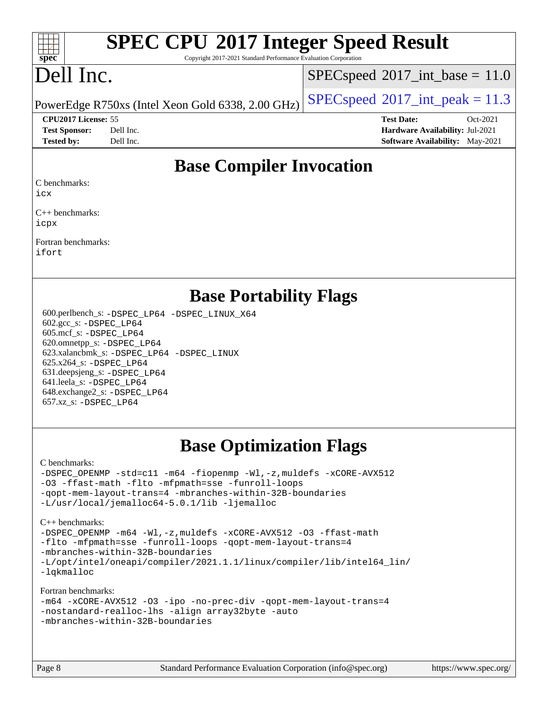#### $+\ +$ **[spec](http://www.spec.org/)**

# **[SPEC CPU](http://www.spec.org/auto/cpu2017/Docs/result-fields.html#SPECCPU2017IntegerSpeedResult)[2017 Integer Speed Result](http://www.spec.org/auto/cpu2017/Docs/result-fields.html#SPECCPU2017IntegerSpeedResult)**

Copyright 2017-2021 Standard Performance Evaluation Corporation

## Dell Inc.

 $SPECspeed^{\circ}2017\_int\_base = 11.0$  $SPECspeed^{\circ}2017\_int\_base = 11.0$ 

PowerEdge R750xs (Intel Xeon Gold 6338, 2.00 GHz)  $\left|$  [SPECspeed](http://www.spec.org/auto/cpu2017/Docs/result-fields.html#SPECspeed2017intpeak)<sup>®</sup>[2017\\_int\\_peak = 1](http://www.spec.org/auto/cpu2017/Docs/result-fields.html#SPECspeed2017intpeak)1.3

**[CPU2017 License:](http://www.spec.org/auto/cpu2017/Docs/result-fields.html#CPU2017License)** 55 **[Test Date:](http://www.spec.org/auto/cpu2017/Docs/result-fields.html#TestDate)** Oct-2021 **[Test Sponsor:](http://www.spec.org/auto/cpu2017/Docs/result-fields.html#TestSponsor)** Dell Inc. **[Hardware Availability:](http://www.spec.org/auto/cpu2017/Docs/result-fields.html#HardwareAvailability)** Jul-2021 **[Tested by:](http://www.spec.org/auto/cpu2017/Docs/result-fields.html#Testedby)** Dell Inc. **[Software Availability:](http://www.spec.org/auto/cpu2017/Docs/result-fields.html#SoftwareAvailability)** May-2021

#### **[Base Compiler Invocation](http://www.spec.org/auto/cpu2017/Docs/result-fields.html#BaseCompilerInvocation)**

[C benchmarks](http://www.spec.org/auto/cpu2017/Docs/result-fields.html#Cbenchmarks):

[icx](http://www.spec.org/cpu2017/results/res2021q4/cpu2017-20211025-29826.flags.html#user_CCbase_intel_icx_fe2d28d19ae2a5db7c42fe0f2a2aed77cb715edd4aeb23434404a8be6683fe239869bb6ca8154ca98265c2e3b9226a719a0efe2953a4a7018c379b7010ccf087)

[C++ benchmarks:](http://www.spec.org/auto/cpu2017/Docs/result-fields.html#CXXbenchmarks) [icpx](http://www.spec.org/cpu2017/results/res2021q4/cpu2017-20211025-29826.flags.html#user_CXXbase_intel_icpx_1e918ed14c436bf4b9b7c8bcdd51d4539fc71b3df010bd1e9f8732d9c34c2b2914e48204a846820f3c0ebb4095dea797a5c30b458ac0b6dffac65d78f781f5ca)

[Fortran benchmarks](http://www.spec.org/auto/cpu2017/Docs/result-fields.html#Fortranbenchmarks): [ifort](http://www.spec.org/cpu2017/results/res2021q4/cpu2017-20211025-29826.flags.html#user_FCbase_intel_ifort_8111460550e3ca792625aed983ce982f94888b8b503583aa7ba2b8303487b4d8a21a13e7191a45c5fd58ff318f48f9492884d4413fa793fd88dd292cad7027ca)

#### **[Base Portability Flags](http://www.spec.org/auto/cpu2017/Docs/result-fields.html#BasePortabilityFlags)**

 600.perlbench\_s: [-DSPEC\\_LP64](http://www.spec.org/cpu2017/results/res2021q4/cpu2017-20211025-29826.flags.html#b600.perlbench_s_basePORTABILITY_DSPEC_LP64) [-DSPEC\\_LINUX\\_X64](http://www.spec.org/cpu2017/results/res2021q4/cpu2017-20211025-29826.flags.html#b600.perlbench_s_baseCPORTABILITY_DSPEC_LINUX_X64) 602.gcc\_s: [-DSPEC\\_LP64](http://www.spec.org/cpu2017/results/res2021q4/cpu2017-20211025-29826.flags.html#suite_basePORTABILITY602_gcc_s_DSPEC_LP64) 605.mcf\_s: [-DSPEC\\_LP64](http://www.spec.org/cpu2017/results/res2021q4/cpu2017-20211025-29826.flags.html#suite_basePORTABILITY605_mcf_s_DSPEC_LP64) 620.omnetpp\_s: [-DSPEC\\_LP64](http://www.spec.org/cpu2017/results/res2021q4/cpu2017-20211025-29826.flags.html#suite_basePORTABILITY620_omnetpp_s_DSPEC_LP64) 623.xalancbmk\_s: [-DSPEC\\_LP64](http://www.spec.org/cpu2017/results/res2021q4/cpu2017-20211025-29826.flags.html#suite_basePORTABILITY623_xalancbmk_s_DSPEC_LP64) [-DSPEC\\_LINUX](http://www.spec.org/cpu2017/results/res2021q4/cpu2017-20211025-29826.flags.html#b623.xalancbmk_s_baseCXXPORTABILITY_DSPEC_LINUX) 625.x264\_s: [-DSPEC\\_LP64](http://www.spec.org/cpu2017/results/res2021q4/cpu2017-20211025-29826.flags.html#suite_basePORTABILITY625_x264_s_DSPEC_LP64) 631.deepsjeng\_s: [-DSPEC\\_LP64](http://www.spec.org/cpu2017/results/res2021q4/cpu2017-20211025-29826.flags.html#suite_basePORTABILITY631_deepsjeng_s_DSPEC_LP64) 641.leela\_s: [-DSPEC\\_LP64](http://www.spec.org/cpu2017/results/res2021q4/cpu2017-20211025-29826.flags.html#suite_basePORTABILITY641_leela_s_DSPEC_LP64) 648.exchange2\_s: [-DSPEC\\_LP64](http://www.spec.org/cpu2017/results/res2021q4/cpu2017-20211025-29826.flags.html#suite_basePORTABILITY648_exchange2_s_DSPEC_LP64) 657.xz\_s: [-DSPEC\\_LP64](http://www.spec.org/cpu2017/results/res2021q4/cpu2017-20211025-29826.flags.html#suite_basePORTABILITY657_xz_s_DSPEC_LP64)

## **[Base Optimization Flags](http://www.spec.org/auto/cpu2017/Docs/result-fields.html#BaseOptimizationFlags)**

[C benchmarks](http://www.spec.org/auto/cpu2017/Docs/result-fields.html#Cbenchmarks):

[-DSPEC\\_OPENMP](http://www.spec.org/cpu2017/results/res2021q4/cpu2017-20211025-29826.flags.html#suite_CCbase_DSPEC_OPENMP) [-std=c11](http://www.spec.org/cpu2017/results/res2021q4/cpu2017-20211025-29826.flags.html#user_CCbase_std-icc-std_0e1c27790398a4642dfca32ffe6c27b5796f9c2d2676156f2e42c9c44eaad0c049b1cdb667a270c34d979996257aeb8fc440bfb01818dbc9357bd9d174cb8524) [-m64](http://www.spec.org/cpu2017/results/res2021q4/cpu2017-20211025-29826.flags.html#user_CCbase_m64-icc) [-fiopenmp](http://www.spec.org/cpu2017/results/res2021q4/cpu2017-20211025-29826.flags.html#user_CCbase_fiopenmp_4cde26b3fcccd23bd0bb70af4efc204325d72839eefa1147e34201101709f20b3deb62aad96701dea148529bf4ca48c90b72f3bf837ca148e297cf8a0ba6feb7) [-Wl,-z,muldefs](http://www.spec.org/cpu2017/results/res2021q4/cpu2017-20211025-29826.flags.html#user_CCbase_link_force_multiple1_b4cbdb97b34bdee9ceefcfe54f4c8ea74255f0b02a4b23e853cdb0e18eb4525ac79b5a88067c842dd0ee6996c24547a27a4b99331201badda8798ef8a743f577) [-xCORE-AVX512](http://www.spec.org/cpu2017/results/res2021q4/cpu2017-20211025-29826.flags.html#user_CCbase_f-xCORE-AVX512) [-O3](http://www.spec.org/cpu2017/results/res2021q4/cpu2017-20211025-29826.flags.html#user_CCbase_f-O3) [-ffast-math](http://www.spec.org/cpu2017/results/res2021q4/cpu2017-20211025-29826.flags.html#user_CCbase_f-ffast-math) [-flto](http://www.spec.org/cpu2017/results/res2021q4/cpu2017-20211025-29826.flags.html#user_CCbase_f-flto) [-mfpmath=sse](http://www.spec.org/cpu2017/results/res2021q4/cpu2017-20211025-29826.flags.html#user_CCbase_f-mfpmath_70eb8fac26bde974f8ab713bc9086c5621c0b8d2f6c86f38af0bd7062540daf19db5f3a066d8c6684be05d84c9b6322eb3b5be6619d967835195b93d6c02afa1) [-funroll-loops](http://www.spec.org/cpu2017/results/res2021q4/cpu2017-20211025-29826.flags.html#user_CCbase_f-funroll-loops) [-qopt-mem-layout-trans=4](http://www.spec.org/cpu2017/results/res2021q4/cpu2017-20211025-29826.flags.html#user_CCbase_f-qopt-mem-layout-trans_fa39e755916c150a61361b7846f310bcdf6f04e385ef281cadf3647acec3f0ae266d1a1d22d972a7087a248fd4e6ca390a3634700869573d231a252c784941a8) [-mbranches-within-32B-boundaries](http://www.spec.org/cpu2017/results/res2021q4/cpu2017-20211025-29826.flags.html#user_CCbase_f-mbranches-within-32B-boundaries) [-L/usr/local/jemalloc64-5.0.1/lib](http://www.spec.org/cpu2017/results/res2021q4/cpu2017-20211025-29826.flags.html#user_CCbase_jemalloc_link_path64_1_cc289568b1a6c0fd3b62c91b824c27fcb5af5e8098e6ad028160d21144ef1b8aef3170d2acf0bee98a8da324cfe4f67d0a3d0c4cc4673d993d694dc2a0df248b) [-ljemalloc](http://www.spec.org/cpu2017/results/res2021q4/cpu2017-20211025-29826.flags.html#user_CCbase_jemalloc_link_lib_d1249b907c500fa1c0672f44f562e3d0f79738ae9e3c4a9c376d49f265a04b9c99b167ecedbf6711b3085be911c67ff61f150a17b3472be731631ba4d0471706)

[C++ benchmarks:](http://www.spec.org/auto/cpu2017/Docs/result-fields.html#CXXbenchmarks)

[-DSPEC\\_OPENMP](http://www.spec.org/cpu2017/results/res2021q4/cpu2017-20211025-29826.flags.html#suite_CXXbase_DSPEC_OPENMP) [-m64](http://www.spec.org/cpu2017/results/res2021q4/cpu2017-20211025-29826.flags.html#user_CXXbase_m64-icc) [-Wl,-z,muldefs](http://www.spec.org/cpu2017/results/res2021q4/cpu2017-20211025-29826.flags.html#user_CXXbase_link_force_multiple1_b4cbdb97b34bdee9ceefcfe54f4c8ea74255f0b02a4b23e853cdb0e18eb4525ac79b5a88067c842dd0ee6996c24547a27a4b99331201badda8798ef8a743f577) [-xCORE-AVX512](http://www.spec.org/cpu2017/results/res2021q4/cpu2017-20211025-29826.flags.html#user_CXXbase_f-xCORE-AVX512) [-O3](http://www.spec.org/cpu2017/results/res2021q4/cpu2017-20211025-29826.flags.html#user_CXXbase_f-O3) [-ffast-math](http://www.spec.org/cpu2017/results/res2021q4/cpu2017-20211025-29826.flags.html#user_CXXbase_f-ffast-math) [-flto](http://www.spec.org/cpu2017/results/res2021q4/cpu2017-20211025-29826.flags.html#user_CXXbase_f-flto) [-mfpmath=sse](http://www.spec.org/cpu2017/results/res2021q4/cpu2017-20211025-29826.flags.html#user_CXXbase_f-mfpmath_70eb8fac26bde974f8ab713bc9086c5621c0b8d2f6c86f38af0bd7062540daf19db5f3a066d8c6684be05d84c9b6322eb3b5be6619d967835195b93d6c02afa1) [-funroll-loops](http://www.spec.org/cpu2017/results/res2021q4/cpu2017-20211025-29826.flags.html#user_CXXbase_f-funroll-loops) [-qopt-mem-layout-trans=4](http://www.spec.org/cpu2017/results/res2021q4/cpu2017-20211025-29826.flags.html#user_CXXbase_f-qopt-mem-layout-trans_fa39e755916c150a61361b7846f310bcdf6f04e385ef281cadf3647acec3f0ae266d1a1d22d972a7087a248fd4e6ca390a3634700869573d231a252c784941a8) [-mbranches-within-32B-boundaries](http://www.spec.org/cpu2017/results/res2021q4/cpu2017-20211025-29826.flags.html#user_CXXbase_f-mbranches-within-32B-boundaries) [-L/opt/intel/oneapi/compiler/2021.1.1/linux/compiler/lib/intel64\\_lin/](http://www.spec.org/cpu2017/results/res2021q4/cpu2017-20211025-29826.flags.html#user_CXXbase_linkpath_765a8c93c4ea33dfc565a33ecb48f4f7d02a6338709b3b362f341eb203a06426ce1d12ded4c7809f6ab6cf0e9f5515cffeb4efc405b63f85dc27a83bbbdeb3a3) [-lqkmalloc](http://www.spec.org/cpu2017/results/res2021q4/cpu2017-20211025-29826.flags.html#user_CXXbase_qkmalloc_link_lib_79a818439969f771c6bc311cfd333c00fc099dad35c030f5aab9dda831713d2015205805422f83de8875488a2991c0a156aaa600e1f9138f8fc37004abc96dc5)

[Fortran benchmarks](http://www.spec.org/auto/cpu2017/Docs/result-fields.html#Fortranbenchmarks):

|                                                  |  |  | -m64 -xCORE-AVX512 -03 -ipo -no-prec-div -qopt-mem-layout-trans=4 |
|--------------------------------------------------|--|--|-------------------------------------------------------------------|
| -nostandard-realloc-lhs -align array32byte -auto |  |  |                                                                   |
| -mbranches-within-32B-boundaries                 |  |  |                                                                   |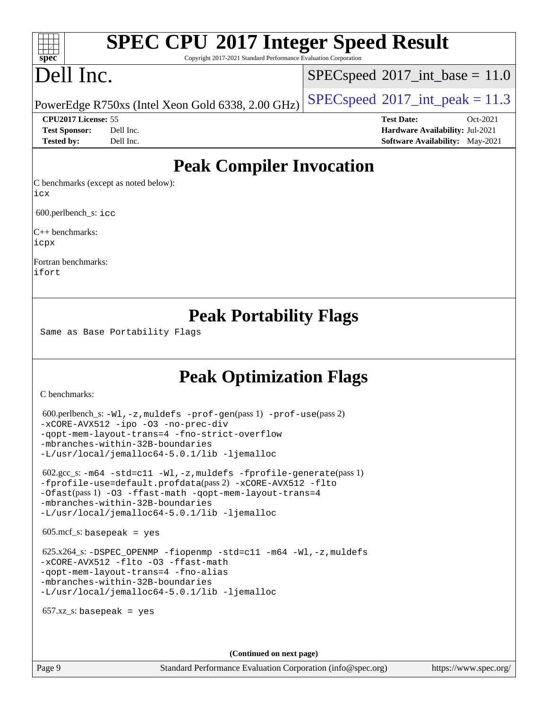## **[SPEC CPU](http://www.spec.org/auto/cpu2017/Docs/result-fields.html#SPECCPU2017IntegerSpeedResult)[2017 Integer Speed Result](http://www.spec.org/auto/cpu2017/Docs/result-fields.html#SPECCPU2017IntegerSpeedResult)**

Copyright 2017-2021 Standard Performance Evaluation Corporation

## Dell Inc.

**[spec](http://www.spec.org/)**

 $+\ +$ 

 $SPECspeed^{\circ}2017\_int\_base = 11.0$  $SPECspeed^{\circ}2017\_int\_base = 11.0$ 

PowerEdge R750xs (Intel Xeon Gold 6338, 2.00 GHz)  $\left|$  [SPECspeed](http://www.spec.org/auto/cpu2017/Docs/result-fields.html#SPECspeed2017intpeak)®[2017\\_int\\_peak = 1](http://www.spec.org/auto/cpu2017/Docs/result-fields.html#SPECspeed2017intpeak)1.3

**[CPU2017 License:](http://www.spec.org/auto/cpu2017/Docs/result-fields.html#CPU2017License)** 55 **[Test Date:](http://www.spec.org/auto/cpu2017/Docs/result-fields.html#TestDate)** Oct-2021 **[Test Sponsor:](http://www.spec.org/auto/cpu2017/Docs/result-fields.html#TestSponsor)** Dell Inc. **[Hardware Availability:](http://www.spec.org/auto/cpu2017/Docs/result-fields.html#HardwareAvailability)** Jul-2021 **[Tested by:](http://www.spec.org/auto/cpu2017/Docs/result-fields.html#Testedby)** Dell Inc. **[Software Availability:](http://www.spec.org/auto/cpu2017/Docs/result-fields.html#SoftwareAvailability)** May-2021

### **[Peak Compiler Invocation](http://www.spec.org/auto/cpu2017/Docs/result-fields.html#PeakCompilerInvocation)**

[C benchmarks \(except as noted below\):](http://www.spec.org/auto/cpu2017/Docs/result-fields.html#Cbenchmarksexceptasnotedbelow) [icx](http://www.spec.org/cpu2017/results/res2021q4/cpu2017-20211025-29826.flags.html#user_CCpeak_intel_icx_fe2d28d19ae2a5db7c42fe0f2a2aed77cb715edd4aeb23434404a8be6683fe239869bb6ca8154ca98265c2e3b9226a719a0efe2953a4a7018c379b7010ccf087)

600.perlbench\_s: [icc](http://www.spec.org/cpu2017/results/res2021q4/cpu2017-20211025-29826.flags.html#user_peakCCLD600_perlbench_s_intel_icc_66fc1ee009f7361af1fbd72ca7dcefbb700085f36577c54f309893dd4ec40d12360134090235512931783d35fd58c0460139e722d5067c5574d8eaf2b3e37e92)

[C++ benchmarks](http://www.spec.org/auto/cpu2017/Docs/result-fields.html#CXXbenchmarks): [icpx](http://www.spec.org/cpu2017/results/res2021q4/cpu2017-20211025-29826.flags.html#user_CXXpeak_intel_icpx_1e918ed14c436bf4b9b7c8bcdd51d4539fc71b3df010bd1e9f8732d9c34c2b2914e48204a846820f3c0ebb4095dea797a5c30b458ac0b6dffac65d78f781f5ca)

[Fortran benchmarks:](http://www.spec.org/auto/cpu2017/Docs/result-fields.html#Fortranbenchmarks) [ifort](http://www.spec.org/cpu2017/results/res2021q4/cpu2017-20211025-29826.flags.html#user_FCpeak_intel_ifort_8111460550e3ca792625aed983ce982f94888b8b503583aa7ba2b8303487b4d8a21a13e7191a45c5fd58ff318f48f9492884d4413fa793fd88dd292cad7027ca)

#### **[Peak Portability Flags](http://www.spec.org/auto/cpu2017/Docs/result-fields.html#PeakPortabilityFlags)**

Same as Base Portability Flags

## **[Peak Optimization Flags](http://www.spec.org/auto/cpu2017/Docs/result-fields.html#PeakOptimizationFlags)**

[C benchmarks](http://www.spec.org/auto/cpu2017/Docs/result-fields.html#Cbenchmarks):

```
 600.perlbench_s: -Wl,-z,muldefs -prof-gen(pass 1) -prof-use(pass 2)
-xCORE-AVX512 -ipo -O3 -no-prec-div
-qopt-mem-layout-trans=4 -fno-strict-overflow
-mbranches-within-32B-boundaries
-L/usr/local/jemalloc64-5.0.1/lib -ljemalloc
 602.gcc_s: -m64 -std=c11 -Wl,-z,muldefs -fprofile-generate(pass 1)
-fprofile-use=default.profdata(pass 2) -xCORE-AVX512 -flto
-Ofast(pass 1) -O3 -ffast-math -qopt-mem-layout-trans=4
-mbranches-within-32B-boundaries
-L/usr/local/jemalloc64-5.0.1/lib -ljemalloc
605 \text{.mcf}\text{-}\mathrm{s}: basepeak = yes
625.x264-fiopenmp-std=c11-m64-Wl,-z,muldefs
-xCORE-AVX512 -flto -O3 -ffast-math
-qopt-mem-layout-trans=4 -fno-alias
-mbranches-within-32B-boundaries
-L/usr/local/jemalloc64-5.0.1/lib -ljemalloc
657.xz s: basepeak = yes
                                     (Continued on next page)
```